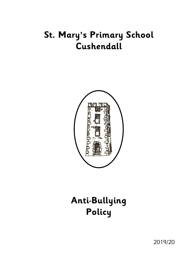# **St. Mary's Primary School Cushendall**



# **Anti-Bullying Policy**

2019/20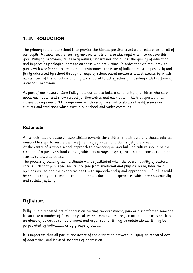# **1. INTRODUCTION**

The primary role of our school is to provide the highest possible standard of education for all of our pupils. A stable, secure learning environment is an essential requirement to achieve this goal. Bullying behaviour, by its very nature, undermines and dilutes the quality of education and imposes psychological damage on those who are victims. In order that we may provide pupils with a safe and secure learning environment the issue of bullying must be positively and firmly addressed by school through a range of school-based measures and strategies by which all members of the school community are enabled to act effectively in dealing with this form of anti-social behaviour.

As part of our Pastoral Care Policy, it is our aim to build a community of children who care about each other and show respect for themselves and each other. This is supported in all classes through our CRED programme which recognises and celebrates the differences in cultures and traditions which exist in our school and wider community.

# **Rationale**

All schools have a pastoral responsibility towards the children in their care and should take all reasonable steps to ensure their welfare is safeguarded and their safety preserved. At the centre of a whole school approach to promoting an anti-bullying culture should be the creation of a positive school climate, which encourages respect, trust, caring, consideration and sensitivity towards others.

The process of building such a climate will be facilitated when the overall quality of pastoral care is such that pupils feel secure, are free from emotional and physical harm, have their opinions valued and their concerns dealt with sympathetically and appropriately. Pupils should be able to enjoy their time in school and have educational experiences which are academically and socially fulfilling.

# **Definition**

Bullying is a repeated act of aggression causing embarrassment, pain or discomfort to someone. It can take a number of forms: physical, verbal, making gestures, extortion and exclusion. It is an abuse of power. It can be planned and organised, or it may be unintentional. It may be perpetrated by individuals or by groups of pupils.

It is important that all parties are aware of the distinction between 'bullying' as repeated acts of aggression, and isolated incidents of aggression.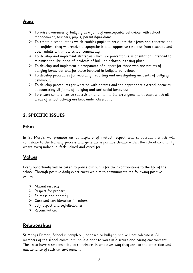# **Aims**

- $\triangleright$  To raise awareness of bullying as a form of unacceptable behaviour with school management, teachers, pupils, parents/guardians.
- $\triangleright$  To create a school ethos which enables pupils to articulate their fears and concerns and be confident they will receive a sympathetic and supportive response from teachers and other adults within the school community.
- $\triangleright$  To develop and implement strategies which are preventative in orientation, intended to minimise the likelihood of incidents of bullying behaviour taking place.
- $\triangleright$  To develop and implement a programme of support for those who are victims of bullying behaviour and for those involved in bullying behaviour.
- $\triangleright$  To develop procedures for recording, reporting and investigating incidents of bullying behaviour.
- $\triangleright$  To develop procedures for working with parents and the appropriate external agencies in countering all forms of bullying and anti-social behaviour.
- $\triangleright$  To ensure comprehensive supervision and monitoring arrangements through which all areas of school activity are kept under observation.

# **2. SPECIFIC ISSUES**

# **Ethos**

In St Mary's we promote an atmosphere of mutual respect and co-operation which will contribute to the learning process and generate a positive climate within the school community where every individual feels valued and cared for.

# **Values**

Every opportunity will be taken to praise our pupils for their contributions to the life of the school. Through positive daily experiences we aim to communicate the following positive values:-

- $\triangleright$  Mutual respect;
- $\triangleright$  Respect for property;
- $\triangleright$  Fairness and honesty;
- $\triangleright$  Care and consideration for others;
- $\triangleright$  Self-respect and self-discipline;
- $\triangleright$  Reconciliation.

# **Relationships**

St Mary's Primary School is completely opposed to bullying and will not tolerate it. All members of the school community have a right to work in a secure and caring environment. They also have a responsibility to contribute, in whatever way they can, to the protection and maintenance of such an environment.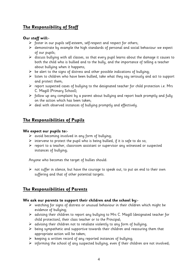# **The Responsibility of Staff**

#### **Our staff will:-**

- $\triangleright$  foster in our pupils self-esteem, self-respect and respect for others;
- $\triangleright$  demonstrate by example the high standards of personal and social behaviour we expect of our pupils;
- $\triangleright$  discuss bullying with all classes, so that every pupil learns about the damage it causes to both the child who is bullied and to the bully, and the importance of telling a teacher about bullying when it happens;
- $\triangleright$  be alert to the signs of distress and other possible indications of bullying;
- $\triangleright$  listen to children who have been bullied, take what they say seriously and act to support and protect them;
- $\triangleright$  report suspected cases of bullying to the designated teacher for child protection i.e. Mrs C. Magill (Primary School);
- $\triangleright$  follow up any complaint by a parent about bullying and report back promptly and fully on the action which has been taken;
- $\triangleright$  deal with observed instances of bullying promptly and effectively.

# **The Responsibilities of Pupils**

#### **We expect our pupils to:-**

- $\triangleright$  avoid becoming involved in any form of bullying;
- $\triangleright$  intervene to protect the pupil who is being bullied, if it is safe to do so;
- $\triangleright$  report to a teacher, classroom assistant or supervisor any witnessed or suspected instances of bullying;

Anyone who becomes the target of bullies should:

 $\triangleright$  not suffer in silence, but have the courage to speak out, to put an end to their own suffering and that of other potential targets.

# **The Responsibilities of Parents**

#### **We ask our parents to support their children and the school by:-**

- $\triangleright$  watching for signs of distress or unusual behaviour in their children which might be evidence of bullying;
- advising their children to report any bullying to Mrs C. Magill (designated teacher for child protection), their class teacher or to the Principal;
- $\triangleright$  advising their children not to retaliate violently to any form of bullying;
- $\triangleright$  being sympathetic and supportive towards their children and reassuring them that appropriate action will be taken;
- $\triangleright$  keeping a written record of any reported instances of bullying;
- $\triangleright$  informing the school of any suspected bullying, even if their children are not involved;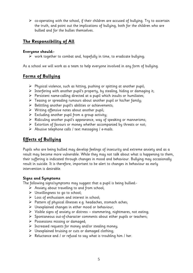$\triangleright$  co-operating with the school, if their children are accused of bullying. Try to ascertain the truth, and point out the implications of bullying, both for the children who are bullied and for the bullies themselves.

# **The Responsibility of All**

#### **Everyone should:-**

 $\triangleright$  work together to combat and, hopefully in time, to eradicate bullying;

As a school we will work as a team to help everyone involved in any form of bullying.

# **Forms of Bullying**

- $\triangleright$  Physical violence, such as hitting, pushing or spitting at another pupil;
- $\triangleright$  Interfering with another pupil's property, by stealing, hiding or damaging it;
- $\triangleright$  Persistent name-calling directed at a pupil which insults or humiliates;
- $\triangleright$  Teasing or spreading rumours about another pupil or his/her family;
- $\triangleright$  Belittling another pupil's abilities or achievements;
- $\triangleright$  Writing offensive notes about another pupil;
- $\triangleright$  Excluding another pupil from a group activity;
- $\triangleright$  Ridiculing another pupil's appearance, way of speaking or mannerisms;
- $\triangleright$  Extortion of favours or money whether accompanied by threats or not;
- $\triangleright$  Abusive telephone calls / text messaging / e-mails.

# **Effects of Bullying**

Pupils who are being bullied may develop feelings of insecurity and extreme anxiety and as a result may become more vulnerable. While they may not talk about what is happening to them, their suffering is indicated through changes in mood and behaviour. Bullying may occasionally result in suicide. It is therefore, important to be alert to changes in behaviour as early intervention is desirable.

#### **Signs and Symptoms**

The following signs/symptoms may suggest that a pupil is being bullied:-

- $\triangleright$  Anxiety about travelling to and from school;
- Unwillingness to go to school;
- $\triangleright$  Loss of enthusiasm and interest in school;
- $\triangleright$  Pattern of physical illnesses e.g. headaches, stomach aches;
- $\triangleright$  Unexplained changes in either mood or behaviour;
- $\triangleright$  Visible signs of anxiety or distress stammering, nightmares, not eating;
- $\triangleright$  Spontaneous out-of-character comments about either pupils or teachers;
- $\triangleright$  Possessions missing or damaged;
- $\triangleright$  Increased requests for money and/or stealing money;
- $\triangleright$  Unexplained bruising or cuts or damaged clothing;
- $\triangleright$  Reluctance and / or refusal to say what is troubling him / her.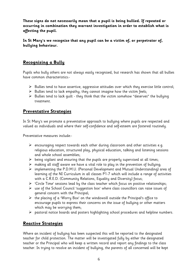**These signs do not necessarily mean that a pupil is being bullied. If repeated or occurring in combination they warrant investigation in order to establish what is affecting the pupil.**

**In St Mary's we recognise that any pupil can be a victim of, or perpetrator of, bullying behaviour.**

# **Recognising a Bully**

Pupils who bully others are not always easily recognised, but research has shown that all bullies have common characteristics:-

- $\triangleright$  Bullies tend to have assertive, aggressive attitudes over which they exercise little control;
- $\triangleright$  Bullies tend to lack empathy; they cannot imagine how the victim feels;
- $\triangleright$  Bullies tend to lack quilt they think that the victim somehow "deserves" the bullying treatment.

# **Preventative Strategies**

In St Mary's we promote a preventative approach to bullying where pupils are respected and valued as individuals and where their self-confidence and self-esteem are fostered routinely.

Preventative measures include:-

- $\triangleright$  encouraging respect towards each other during classroom and other activities e.g. religious education, structured play, physical education, talking and listening sessions and whole school assemblies;
- $\triangleright$  being vigilant and ensuring that the pupils are properly supervised at all times;
- $\triangleright$  making all staff aware we have a vital role to play in the prevention of bullying;
- implementing the P.D.M.U. (Personal Development and Mutual Understanding) area of learning of the NI Curriculum in all classes P1-7 which will include a range of activities with a C.R.E.D. (Community Relations, Equality and Diversity) focus;
- $\triangleright$  'Circle Time' sessions lead by the class teacher which focus on positive relationships;
- $\triangleright$  use of the School Council 'suggestion box' where class councillors can raise issues of general concern with the Principal;
- $\triangleright$  the placing of a 'Worry Box' on the windowsill outside the Principal's office to encourage pupils to express their concerns on the issue of bullying or other matters which may be worrying them;
- $\triangleright$  pastoral notice boards and posters highlighting school procedures and helpline numbers.

# **Reactive Strategies**

Where an incident of bullying has been suspected this will be reported to the designated teacher for child protection. The matter will be investigated fully by either the designated teacher or the Principal who will keep a written record and report any findings to the class teacher. In trying to resolve an incident of bullying, the parents of all concerned will be kept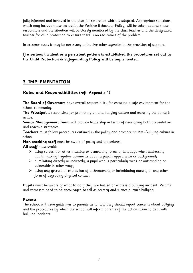fully informed and involved in the plan for resolution which is adopted. Appropriate sanctions, which may include those set out in the Positive Behaviour Policy, will be taken against those responsible and the situation will be closely monitored by the class teacher and the designated teacher for child protection to ensure there is no recurrence of the problem.

In extreme cases it may be necessary to involve other agencies in the provision of support.

#### **If a serious incident or a persistent pattern is established the procedures set out in the Child Protection & Safeguarding Policy will be implemented.**

# **3. IMPLEMENTATION**

# **Roles and Responsibilities (ref: Appendix 1)**

**The Board of Governors** have overall responsibility for ensuring a safe environment for the school community.

**The Principal** is responsible for promoting an anti-bullying culture and ensuring the policy is active.

**Senior Management Team** will provide leadership in terms of developing both preventative and reactive strategies.

**Teachers** must follow procedures outlined in the policy and promote an Anti-Bullying culture in school.

**Non-teaching staff** must be aware of policy and procedures.

**All staff** must avoid:-

- $\triangleright$  using sarcasm or other insulting or demeaning forms of language when addressing pupils; making negative comments about a pupil's appearance or background;
- $\triangleright$  humiliating directly or indirectly, a pupil who is particularly weak or outstanding or vulnerable in other ways;
- $\triangleright$  using any gesture or expression of a threatening or intimidating nature, or any other form of degrading physical contact.

**Pupils** must be aware of what to do if they are bullied or witness a bullying incident. Victims and witnesses need to be encouraged to tell as secrecy and silence nurture bullying.

#### **Parents**

The school will issue guidelines to parents as to how they should report concerns about bullying and the procedures by which the school will inform parents of the action taken to deal with bullying incidents.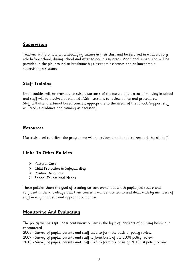## **Supervision**

Teachers will promote an anti-bullying culture in their class and be involved in a supervisory role before school, during school and after school in key areas. Additional supervision will be provided in the playground at breaktime by classroom assistants and at lunchtime by supervisory assistants.

# **Staff Training**

Opportunities will be provided to raise awareness of the nature and extent of bullying in school and staff will be involved in planned INSET sessions to review policy and procedures. Staff will attend external based courses, appropriate to the needs of the school. Support staff will receive guidance and training as necessary.

## **Resources**

Materials used to deliver the programme will be reviewed and updated regularly by all staff.

# **Links To Other Policies**

- ▶ Pastoral Care
- Child Protection & Safeguarding
- ▶ Positive Behaviour
- $\triangleright$  Special Educational Needs

These policies share the goal of creating an environment in which pupils feel secure and confident in the knowledge that their concerns will be listened to and dealt with by members of staff in a sympathetic and appropriate manner.

# **Monitoring And Evaluating**

The policy will be kept under continuous review in the light of incidents of bullying behaviour encountered.

2003 - Survey of pupils, parents and staff used to form the basis of policy review.

2009 - Survey of pupils, parents and staff to form basis of the 2009 policy review.

2013 - Survey of pupils, parents and staff used to form the basis of 2013/14 policy review.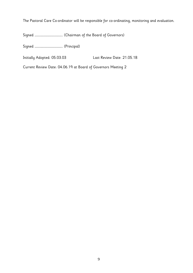The Pastoral Care Co-ordinator will be responsible for co-ordinating, monitoring and evaluation.

Signed ………………………………………. (Chairman of the Board of Governors)

Signed ………………………………………. (Principal)

Initially Adopted: 05.03.03 Last Review Date: 21.05.18

Current Review Date: 04.06.19 at Board of Governors Meeting 2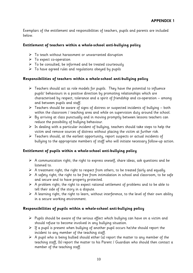Exemplars of the entitlement and responsibilities of teachers, pupils and parents are included below.

#### **Entitlement of teachers within a whole-school anti-bullying policy**

- $\triangleright$  To teach without harassment or unwarranted disruption
- $\triangleright$  To expect co-operation
- $\triangleright$  To be consulted, be informed and be treated courteously
- $\triangleright$  To have agreed rules and regulations obeyed by pupils

### **Responsibilities of teachers within a whole-school anti-bullying policy**

- $\triangleright$  Teachers should act as role models for pupils. They have the potential to influence pupils' behaviours in a positive direction by promoting relationships which are characterised by respect, tolerance and a spirit of friendship and co-operation – among and between pupils and staff.
- $\triangleright$  Teachers should be aware of signs of distress or suspected incidents of bullying both within the classroom / teaching area and while on supervision duty around the school.
- $\triangleright$  By arriving at class punctually and in moving promptly between lessons teachers can reduce the possibility of bullying behaviour.
- $\triangleright$  In dealing with a particular incident of bullying, teachers should take steps to help the victim and remove sources of distress without placing the victim at further risk.
- $\triangleright$  Teachers should, at the earliest opportunity, report suspects or actual incidents of bullying to the appropriate members of staff who will initiate necessary follow-up action.

#### **Entitlement of pupils within a whole-school anti-bullying policy**

- $\triangleright$  A communication right; the right to express oneself, share ideas, ask questions and be listened to.
- $\triangleright$  A treatment right; the right to respect from others, to be treated fairly and equally.
- $\triangleright$  A safety right; the right to be free from intimidation in school and classroom, to be safe and secure and to have property protected.
- $\triangleright$  A problem right; the right to expect rational settlement of problems and to be able to tell their side of the story in a dispute.
- $\triangleright$  A learning right, the right to learn, without interference, to the level of their own ability in a secure working environment.

#### **Responsibilities of pupils within a whole-school anti-bullying policy**

- $\triangleright$  Pupils should be aware of the serious effect which bullying can have on a victim and should refuse to become involved in any bullying situation.
- $\triangleright$  If a pupil is present when bullying of another pupil occurs he/she should report the incident to any member of the teaching staff.
- $\triangleright$  A pupil who is being bullied should either (a) report the matter to any member of the teaching staff, (b) report the matter to his Parent / Guardian who should then contact a member of the teaching staff.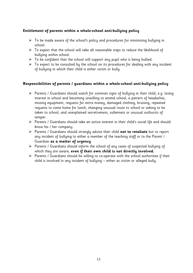#### **Entitlement of parents within a whole-school anti-bullying policy**

- $\triangleright$  To be made aware of the school's policy and procedures for minimising bullying in school.
- $\triangleright$  To expect that the school will take all reasonable steps to reduce the likelihood of bullying within school.
- $\triangleright$  To be confident that the school will support any pupil who is being bullied.
- $\triangleright$  To expect to be consulted by the school on its procedures for dealing with any incident of bullying in which their child is either victim or bully.

#### **Responsibilities of parents / guardians within a whole-school anti-bullying policy**

- $\triangleright$  Parents / Guardians should watch for common signs of bullying in their child, e.g. losing interest in school and becoming unwilling to attend school, a pattern of headaches, missing equipment, requests for extra money, damaged clothing, bruising, repeated requests to come home for lunch, changing unusual route to school or asking to be taken to school, and unexplained secretiveness, sullenness or unusual outbursts of temper.
- $\triangleright$  Parents / Guardians should take an active interest in their child's social life and should know his / her company.
- Parents / Guardians should strongly advise their child **not to retaliate** but to report any incident of bullying to either a member of the teaching staff or to the Parent / Guardian **as a matter of urgency**
- $\triangleright$  Parents / Guardians should inform the school of any cases of suspected bullying of which they are aware, **even if their own child is not directly involved.**
- $\triangleright$  Parents / Guardians should be willing to co-operate with the school authorities if their child is involved in any incident of bullying – either as victim or alleged bully.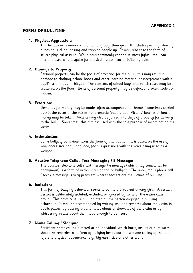#### **FORMS OF BULLYING**

#### **1. Physical Aggression:**

This behaviour is more common among boys than girls. It includes pushing, shoving, punching, kicking, poking and tripping people up. It may also take the form of severe physical assault. While boys commonly engage in 'mess fights', they can often be used as a disguise for physical harassment or inflicting pain.

#### **2. Damage to Property:**

Personal property can be the focus of attention for the bully; this may result in damage to clothing, school books and other learning material or interference with a pupil's school bag or bicycle. The contents of school bags and pencil cases may be scattered on the floor. Items of personal property may be defaced, broken, stolen or hidden.

#### **3. Extortion:**

Demands for money may be made, often accompanied by threats (sometimes carried out) in the event of the victim not promptly 'paying up'. Victims' lunches or lunch money may be taken. Victims may also be forced into theft of property for delivery to the bully. Sometimes, this tactic is used with the sole purpose of incriminating the victim.

#### **4. Intimidation:**

Some bullying behaviour takes the form of intimidation: it is based on the use of very aggressive body language, facial expressions with the voice being used as a weapon.

#### **5. Abusive Telephone Calls / Text Messaging / E Message:**

The abusive telephone call / text message / e message (which may sometimes be anonymous) is a form of verbal intimidation or bullying. The anonymous phone call / text / e message is very prevalent where teachers are the victims of bullying.

#### **6. Isolation:**

This form of bullying behaviour seems to be more prevalent among girls. A certain person is deliberately isolated, excluded or ignored by some or the entire class group. This practice is usually initiated by the person engaged in bullying behaviour. It may be accompanied by writing insulting remarks about the victim in public places, by passing around notes about or drawings of the victim or by whispering insults about them loud enough to be heard.

#### **7. Name Calling / Slagging**

Persistent name-calling directed at an individual, which hurts, insults or humiliates should be regarded as a form of bullying behaviour, most name calling of this type refers to physical appearance, e.g. 'big ears', size or clothes worn.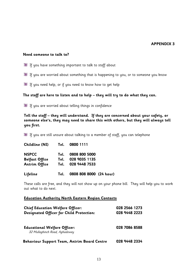#### **APPENDIX 3**

#### **Need someone to talk to?**

- $\blacksquare$  If you have something important to talk to staff about
- If you are worried about something that is happening to you, or to someone you know
- $\blacksquare$  If you need help, or if you need to know how to get help

#### **The staff are here to listen and to help – they will try to do what they can.**

If you are worried about telling things in confidence

**Tell the staff – they will understand. If they are concerned about your safety, or someone else's, they may need to share this with others, but they will always tell you first.**

 $\blacksquare$  If you are still unsure about talking to a member of staff, you can telephone

| Childline (NI)        | Tel. | 0800 1111               |  |
|-----------------------|------|-------------------------|--|
| <b>NSPCC</b>          | Tel. | 0808 800 5000           |  |
| <b>Belfast Office</b> | Tel. | 028 9035 1135           |  |
| <b>Antrim Office</b>  |      | Tel. 028 9448 7533      |  |
| Lifeline              | Tel. | 0808 808 8000 (24 hour) |  |

These calls are free, and they will not show up on your phone bill. They will help you to work out what to do next.

#### **Education Authority North Eastern Region Contacts**

| <b>Chief Education Welfare Officer:</b><br><b>Designated Officer for Child Protection:</b> | 028 2566 1273<br>028 9448 2223 |
|--------------------------------------------------------------------------------------------|--------------------------------|
| <b>Educational Welfare Officer:</b><br>32 Mullaghinch Road, Aghadowey                      | 028 7086 8588                  |
| <b>Behaviour Support Team, Antrim Board Centre</b>                                         | 028 9448 2334                  |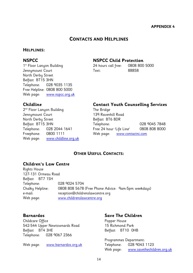# **CONTACTS AND HELPLINES**

#### **HELPLINES:**

Jennymount Court Text: 88858 North Derby Street Belfast BT15 3HN Telephone: 028 9035 1135 Free Helpline: 0808 800 5000 Web page: [www.nspcc.org.uk](http://www.nspcc.org.uk/)

# **NSPCC NSPCC Child Protection**

1 st Floor Lanyon Building 24 hours call free: 0808 800 5000

2 nd Floor Lanyon Building The Bridge Jennymount Court 139 Ravenhill Road North Derby Street Belfast BT6 8DR Freephone: 0800 1111 Web page: [www.contactni.com](http://www.contactni.com/) Web page: [www.childline.org.uk](http://www.childline.org.uk/)

#### **Childline Contact Youth Counselling Services**

Belfast BT15 3HN Telephone: 028 9045 7848 Telephone: 028 2044 1641 Free 24 hour 'Life Line' 0808 808 8000

### **OTHER USEFUL CONTACTS:**

#### **Children's Law Centre**

Rights House 127-131 Ormeau Road Belfast BT7 1SH Telephone: 028 9024 5704 Chalky Helpline: 0808 808 5678 (Free Phone Advice: 9am-5pm weekdays) e-mail: reception@childrenslawcentre.org Web page: [www.childrenslawcentre.org](http://www.childrenslawcentre.org/)

Childcare Office **Popper House** 542-544 Upper Newtownards Road 15 Richmond Park Belfast BT4 3HE Belfast BT10 OHB Telephone: 028 9067 2366

Web page: [www.barnardos.org.uk](http://www.barnardos.org.uk/) Telephone: 028 9043 1123

#### **Barnardos Save The Children**

Programmes Department: Web page: [www.savethechildren.org.uk](http://www.savethechildren.org.uk/)